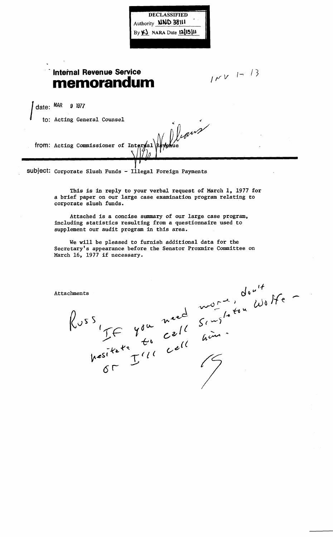Authority **NND 38111** By  $\mathsf{K}$  NARA Date  $\mathsf{12}$  $\mathsf{15}$  $\mathsf{11}$ 

**DECLASSIFIED** 

## **Internal Revenue Service memorandum**

 $100V^{-1}$  /3

date: MAR 9 1977

 $\int \frac{\text{date: } \text{MAR}}{\text{to: } \text{Acting } \text{General } \text{Comsel}}$ 

from: Acting Commissioner of Inte

 ${\sf subject:}$  Corporate Slush Funds -  ${\tt 11}$ legal Foreign Payments

This is in reply to your verbal request of March 1, 1977 for a brief paper on our large case examination program relating to corporate slush funds.

Attached is a concise summary of our large case program, including statistics resulting from a questionnaire used to supplement our audit program in this area.

We will be pleased to furnish additional data for the Secretary's appearance before the Senator Proxmire Committee on March 16, 1977 if necessary.

Attachments<br>
Russ<br>
Russ<br>
TF you need sense Worker<br>
Russikete Cell hours<br>
Nesikete Till cell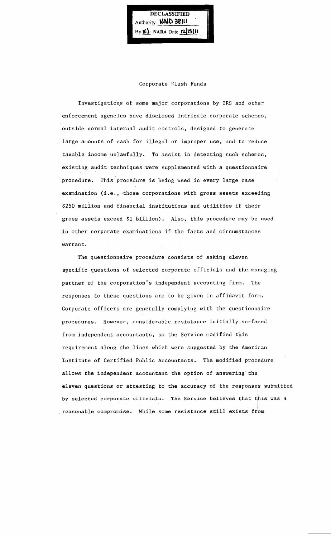**DECLASSIFIED** Authority **NND 38111** By **41.** NARA Date **12.15111** 

## Corporate Slush Funds

Investigations of some major corporations by IRS and other enforcement agencies have disclosed intricate corporate schemes, outside normal internal audit controls, designed to generate large amounts of cash for illegal or improper use, and to reduce taxable income unlawfully. To assist in detecting such schemes, existing audit techniques were supplemented with a questionnaire procedure. This procedure is being used in every large case examination (i.e., those corporations with gross assets exceeding \$250 million and financial institutions and utilities if their gross assets exceed \$1 billion), Also, this procedure may be used in other corporate examinations if the facts and circumstances warrant.

The questionnaire procedure consists of asking eleven specific questions of selected corporate officials and the managing partner of the corporation's independent accounting firm. The responses to these questions are to be given in affidavit form. Corporate officers are generally complying with the questionnaire procedures. However, considerable resistance initially surfaced from independent accountants, so the Service modified this requirement along the lines which were suggested by the American Institute of Certified Public Accountants. The modified procedure allows the independent accountant the option of answering the eleven questions or attesting to the accuracy of the responses submitted by selected corporate officials. The Service believes that this was a reasonable compromise. While some resistance still exists from